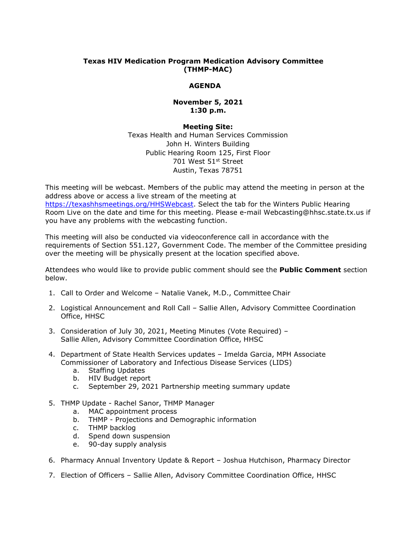# **Texas HIV Medication Program Medication Advisory Committee (THMP-MAC)**

# **AGENDA**

## **November 5, 2021 1:30 p.m.**

### **Meeting Site:**

Texas Health and Human Services Commission John H. Winters Building Public Hearing Room 125, First Floor 701 West 51st Street Austin, Texas 78751

This meeting will be webcast. Members of the public may attend the meeting in person at the address above or access a live stream of the meeting at [https://texashhsmeetings.org/HHSWebcast.](https://texashhsmeetings.org/HHSWebcast) Select the tab for the Winters Public Hearing Room Live on the date and time for this meeting. Please e-mail [Webcasting@hhsc.state.tx.us](mailto:Webcasting@hhsc.state.tx.us) if you have any problems with the webcasting function.

This meeting will also be conducted via videoconference call in accordance with the requirements of Section 551.127, Government Code. The member of the Committee presiding over the meeting will be physically present at the location specified above.

Attendees who would like to provide public comment should see the **Public Comment** section below.

- 1. Call to Order and Welcome Natalie Vanek, M.D., Committee Chair
- 2. Logistical Announcement and Roll Call Sallie Allen, Advisory Committee Coordination Office, HHSC
- 3. Consideration of July 30, 2021, Meeting Minutes (Vote Required) Sallie Allen, Advisory Committee Coordination Office, HHSC
- 4. Department of State Health Services updates Imelda Garcia, MPH Associate Commissioner of Laboratory and Infectious Disease Services (LIDS)
	- a. Staffing Updates
	- b. HIV Budget report
	- c. September 29, 2021 Partnership meeting summary update
- 5. THMP Update Rachel Sanor, THMP Manager
	- a. MAC appointment process
	- b. THMP Projections and Demographic information
	- c. THMP backlog
	- d. Spend down suspension
	- e. 90-day supply analysis
- 6. Pharmacy Annual Inventory Update & Report Joshua Hutchison, Pharmacy Director
- 7. Election of Officers Sallie Allen, Advisory Committee Coordination Office, HHSC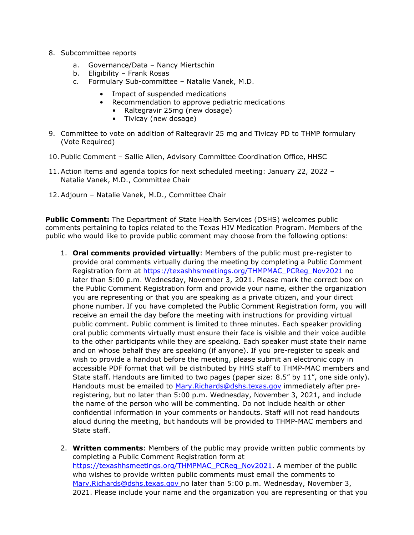- 8. Subcommittee reports
	- a. Governance/Data Nancy Miertschin
	- b. Eligibility Frank Rosas
	- c. Formulary Sub-committee Natalie Vanek, M.D.
		- Impact of suspended medications
		- Recommendation to approve pediatric medications
			- Raltegravir 25mg (new dosage)
			- Tivicay (new dosage)
- 9. Committee to vote on addition of Raltegravir 25 mg and Tivicay PD to THMP formulary (Vote Required)
- 10. Public Comment Sallie Allen, Advisory Committee Coordination Office, HHSC
- 11. Action items and agenda topics for next scheduled meeting: January 22, 2022 Natalie Vanek, M.D., Committee Chair
- 12. Adjourn Natalie Vanek, M.D., Committee Chair

**Public Comment:** The Department of State Health Services (DSHS) welcomes public comments pertaining to topics related to the Texas HIV Medication Program. Members of the public who would like to provide public comment may choose from the following options:

- 1. **Oral comments provided virtually**: Members of the public must pre-register to provide oral comments virtually during the meeting by completing a Public Comment Registration form at [https://texashhsmeetings.org/THMPMAC\\_PCReg\\_Nov2021](https://texashhsmeetings.org/THMPMAC_PCReg_Nov2021) no later than 5:00 p.m. Wednesday, November 3, 2021. Please mark the correct box on the Public Comment Registration form and provide your name, either the organization you are representing or that you are speaking as a private citizen, and your direct phone number. If you have completed the Public Comment Registration form, you will receive an email the day before the meeting with instructions for providing virtual public comment. Public comment is limited to three minutes. Each speaker providing oral public comments virtually must ensure their face is visible and their voice audible to the other participants while they are speaking. Each speaker must state their name and on whose behalf they are speaking (if anyone). If you pre-register to speak and wish to provide a handout before the meeting, please submit an electronic copy in accessible PDF format that will be distributed by HHS staff to THMP-MAC members and State staff. Handouts are limited to two pages (paper size: 8.5" by 11", one side only). Handouts must be emailed to [Mary.Richards@dshs.texas.gov](mailto:Mary.Richards@dshs.texas.gov) immediately after preregistering, but no later than 5:00 p.m. Wednesday, November 3, 2021, and include the name of the person who will be commenting. Do not include health or other confidential information in your comments or handouts. Staff will not read handouts aloud during the meeting, but handouts will be provided to THMP-MAC members and State staff.
- 2. **Written comments**: Members of the public may provide written public comments by completing a Public Comment Registration form at [https://texashhsmeetings.org/THMPMAC\\_PCReg\\_Nov2021.](https://texashhsmeetings.org/THMPMAC_PCReg_Nov2021) A member of the public who wishes to provide written public comments must email the comments to [Mary.Richards@dshs.texas.gov](mailto:Mary.Richards@dshs.texas.gov) no later than 5:00 p.m. Wednesday, November 3, 2021. Please include your name and the organization you are representing or that you